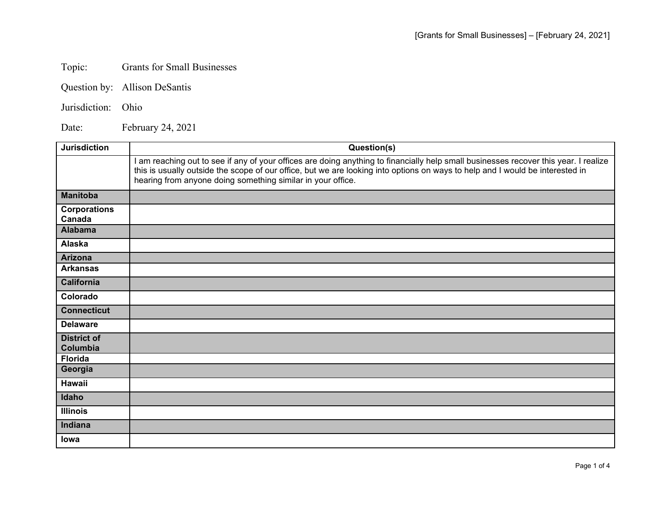## Topic: Grants for Small Businesses

Question by: Allison DeSantis

## Jurisdiction: Ohio

Date: February 24, 2021

| <b>Jurisdiction</b>            | Question(s)                                                                                                                                                                                                                                                                                                                        |
|--------------------------------|------------------------------------------------------------------------------------------------------------------------------------------------------------------------------------------------------------------------------------------------------------------------------------------------------------------------------------|
|                                | am reaching out to see if any of your offices are doing anything to financially help small businesses recover this year. I realize<br>this is usually outside the scope of our office, but we are looking into options on ways to help and I would be interested in<br>hearing from anyone doing something similar in your office. |
| <b>Manitoba</b>                |                                                                                                                                                                                                                                                                                                                                    |
| <b>Corporations</b><br>Canada  |                                                                                                                                                                                                                                                                                                                                    |
| <b>Alabama</b>                 |                                                                                                                                                                                                                                                                                                                                    |
| Alaska                         |                                                                                                                                                                                                                                                                                                                                    |
| <b>Arizona</b>                 |                                                                                                                                                                                                                                                                                                                                    |
| <b>Arkansas</b>                |                                                                                                                                                                                                                                                                                                                                    |
| <b>California</b>              |                                                                                                                                                                                                                                                                                                                                    |
| Colorado                       |                                                                                                                                                                                                                                                                                                                                    |
| <b>Connecticut</b>             |                                                                                                                                                                                                                                                                                                                                    |
| <b>Delaware</b>                |                                                                                                                                                                                                                                                                                                                                    |
| <b>District of</b><br>Columbia |                                                                                                                                                                                                                                                                                                                                    |
| <b>Florida</b>                 |                                                                                                                                                                                                                                                                                                                                    |
| Georgia                        |                                                                                                                                                                                                                                                                                                                                    |
| Hawaii                         |                                                                                                                                                                                                                                                                                                                                    |
| Idaho                          |                                                                                                                                                                                                                                                                                                                                    |
| <b>Illinois</b>                |                                                                                                                                                                                                                                                                                                                                    |
| Indiana                        |                                                                                                                                                                                                                                                                                                                                    |
| lowa                           |                                                                                                                                                                                                                                                                                                                                    |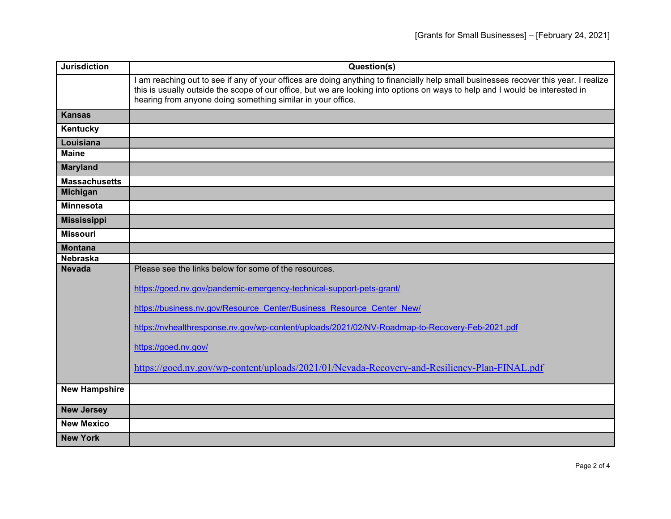| <b>Jurisdiction</b>  | Question(s)                                                                                                                                                                                                                                                                                                                          |
|----------------------|--------------------------------------------------------------------------------------------------------------------------------------------------------------------------------------------------------------------------------------------------------------------------------------------------------------------------------------|
|                      | I am reaching out to see if any of your offices are doing anything to financially help small businesses recover this year. I realize<br>this is usually outside the scope of our office, but we are looking into options on ways to help and I would be interested in<br>hearing from anyone doing something similar in your office. |
| <b>Kansas</b>        |                                                                                                                                                                                                                                                                                                                                      |
| Kentucky             |                                                                                                                                                                                                                                                                                                                                      |
| Louisiana            |                                                                                                                                                                                                                                                                                                                                      |
| <b>Maine</b>         |                                                                                                                                                                                                                                                                                                                                      |
| <b>Maryland</b>      |                                                                                                                                                                                                                                                                                                                                      |
| <b>Massachusetts</b> |                                                                                                                                                                                                                                                                                                                                      |
| <b>Michigan</b>      |                                                                                                                                                                                                                                                                                                                                      |
| <b>Minnesota</b>     |                                                                                                                                                                                                                                                                                                                                      |
| <b>Mississippi</b>   |                                                                                                                                                                                                                                                                                                                                      |
| <b>Missouri</b>      |                                                                                                                                                                                                                                                                                                                                      |
| <b>Montana</b>       |                                                                                                                                                                                                                                                                                                                                      |
| <b>Nebraska</b>      |                                                                                                                                                                                                                                                                                                                                      |
| <b>Nevada</b>        | Please see the links below for some of the resources.                                                                                                                                                                                                                                                                                |
|                      | https://goed.nv.gov/pandemic-emergency-technical-support-pets-grant/                                                                                                                                                                                                                                                                 |
|                      | https://business.nv.gov/Resource Center/Business Resource Center New/                                                                                                                                                                                                                                                                |
|                      | https://nvhealthresponse.nv.gov/wp-content/uploads/2021/02/NV-Roadmap-to-Recovery-Feb-2021.pdf                                                                                                                                                                                                                                       |
|                      | https://goed.nv.gov/                                                                                                                                                                                                                                                                                                                 |
|                      | https://goed.nv.gov/wp-content/uploads/2021/01/Nevada-Recovery-and-Resiliency-Plan-FINAL.pdf                                                                                                                                                                                                                                         |
| <b>New Hampshire</b> |                                                                                                                                                                                                                                                                                                                                      |
| <b>New Jersey</b>    |                                                                                                                                                                                                                                                                                                                                      |
| <b>New Mexico</b>    |                                                                                                                                                                                                                                                                                                                                      |
| <b>New York</b>      |                                                                                                                                                                                                                                                                                                                                      |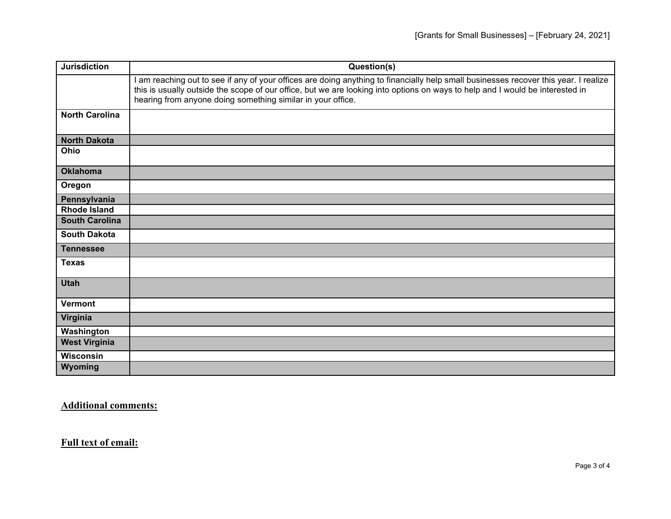| <b>Jurisdiction</b>   | Question(s)                                                                                                                                                                                                                                                                                                                          |
|-----------------------|--------------------------------------------------------------------------------------------------------------------------------------------------------------------------------------------------------------------------------------------------------------------------------------------------------------------------------------|
|                       | I am reaching out to see if any of your offices are doing anything to financially help small businesses recover this year. I realize<br>this is usually outside the scope of our office, but we are looking into options on ways to help and I would be interested in<br>hearing from anyone doing something similar in your office. |
| <b>North Carolina</b> |                                                                                                                                                                                                                                                                                                                                      |
| <b>North Dakota</b>   |                                                                                                                                                                                                                                                                                                                                      |
| <b>Ohio</b>           |                                                                                                                                                                                                                                                                                                                                      |
| <b>Oklahoma</b>       |                                                                                                                                                                                                                                                                                                                                      |
| Oregon                |                                                                                                                                                                                                                                                                                                                                      |
| Pennsylvania          |                                                                                                                                                                                                                                                                                                                                      |
| <b>Rhode Island</b>   |                                                                                                                                                                                                                                                                                                                                      |
| <b>South Carolina</b> |                                                                                                                                                                                                                                                                                                                                      |
| <b>South Dakota</b>   |                                                                                                                                                                                                                                                                                                                                      |
| <b>Tennessee</b>      |                                                                                                                                                                                                                                                                                                                                      |
| <b>Texas</b>          |                                                                                                                                                                                                                                                                                                                                      |
| <b>Utah</b>           |                                                                                                                                                                                                                                                                                                                                      |
| <b>Vermont</b>        |                                                                                                                                                                                                                                                                                                                                      |
| Virginia              |                                                                                                                                                                                                                                                                                                                                      |
| Washington            |                                                                                                                                                                                                                                                                                                                                      |
| <b>West Virginia</b>  |                                                                                                                                                                                                                                                                                                                                      |
| <b>Wisconsin</b>      |                                                                                                                                                                                                                                                                                                                                      |
| Wyoming               |                                                                                                                                                                                                                                                                                                                                      |

**Additional comments:**

**Full text of email:**